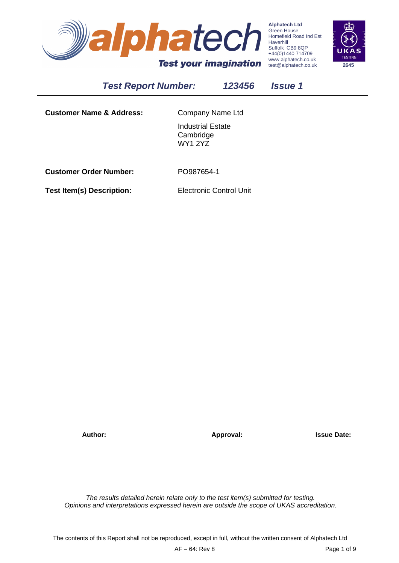

**Alphatech Ltd** Green House Homefield Road Ind Est Haverhill Suffolk CB9 8QP +44(0)1440 714709 www.alphatech.co.uk test@alphatech.co.uk **2645**

# *Test Report Number: 123456 Issue 1*

**Customer Name & Address:** Company Name Ltd

Industrial Estate Cambridge WY1 2YZ

**Customer Order Number:** PO987654-1

**Test Item(s) Description:** Electronic Control Unit

**Author: Approval: Issue Date:**

*The results detailed herein relate only to the test item(s) submitted for testing. Opinions and interpretations expressed herein are outside the scope of UKAS accreditation.*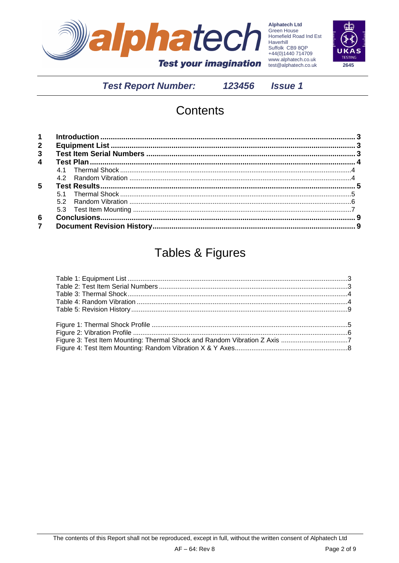

Alphatech Ltd<br>Green House<br>Homefield Road Ind Est<br>Haverhill<br>Suffolk CB9 8QP<br>+44(0)1440 714709<br>Many 2lphatech CO Uk www.alphatech.co.uk test@alphatech.co.uk



**Test Report Number:** 

123456

**Issue 1** 

# Contents

| $2^{\circ}$             |  |
|-------------------------|--|
| $\mathbf{3}$            |  |
| $\overline{\mathbf{4}}$ |  |
|                         |  |
|                         |  |
| 5                       |  |
|                         |  |
|                         |  |
|                         |  |
| 6                       |  |
| $\overline{7}$          |  |

# **Tables & Figures**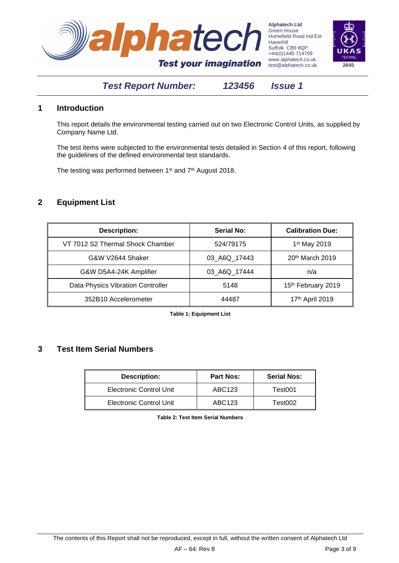



#### <span id="page-2-0"></span>**1 Introduction**

This report details the environmental testing carried out on two Electronic Control Units, as supplied by Company Name Ltd.

The test items were subjected to the environmental tests detailed in Section [4](#page-2-5) of this report, following the guidelines of the defined environmental test standards.

The testing was performed between 1<sup>st</sup> and 7<sup>th</sup> August 2018.

#### <span id="page-2-1"></span>**2 Equipment List**

| <b>Description:</b>               | <b>Serial No:</b> | <b>Calibration Due:</b>  |
|-----------------------------------|-------------------|--------------------------|
| VT 7012 S2 Thermal Shock Chamber  | 524/79175         | 1 <sup>st</sup> May 2019 |
| G&W V2644 Shaker                  | 03 A6Q 17443      | 20th March 2019          |
| G&W D5A4-24K Amplifier            | 03 A6Q 17444      | n/a                      |
| Data Physics Vibration Controller | 5148              | 15th February 2019       |
| 352B10 Accelerometer              | 44487             | 17th April 2019          |

**Table 1: Equipment List**

#### <span id="page-2-3"></span><span id="page-2-2"></span>**3 Test Item Serial Numbers**

<span id="page-2-5"></span><span id="page-2-4"></span>

| <b>Description:</b>            | <b>Part Nos:</b> | <b>Serial Nos:</b> |
|--------------------------------|------------------|--------------------|
| Electronic Control Unit        | ABC123           | Test001            |
| <b>Electronic Control Unit</b> | ABC123           | Test002            |

**Table 2: Test Item Serial Numbers**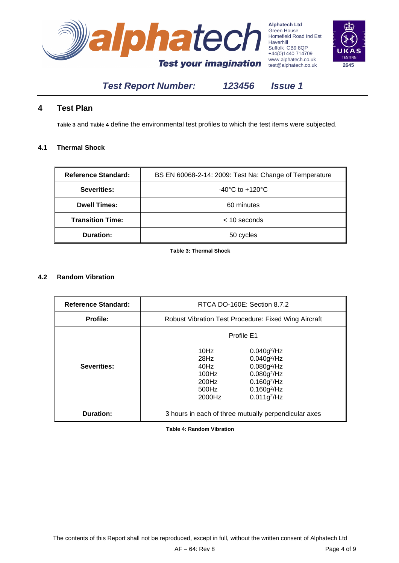



#### <span id="page-3-0"></span>**4 Test Plan**

**[Table 3](#page-3-4)** and **[Table 4](#page-3-5)** define the environmental test profiles to which the test items were subjected.

#### <span id="page-3-1"></span>**4.1 Thermal Shock**

| <b>Reference Standard:</b> | BS EN 60068-2-14: 2009: Test Na: Change of Temperature |
|----------------------------|--------------------------------------------------------|
| Severities:                | -40 $^{\circ}$ C to +120 $^{\circ}$ C                  |
| <b>Dwell Times:</b>        | 60 minutes                                             |
| <b>Transition Time:</b>    | $<$ 10 seconds                                         |
| <b>Duration:</b>           | 50 cycles                                              |

**Table 3: Thermal Shock**

#### <span id="page-3-4"></span><span id="page-3-2"></span>**4.2 Random Vibration**

 $\overline{a}$ 

<span id="page-3-5"></span>

| <b>Reference Standard:</b> |                                                                 | RTCA DO-160E: Section 8.7.2                                                                                                     |  |
|----------------------------|-----------------------------------------------------------------|---------------------------------------------------------------------------------------------------------------------------------|--|
| <b>Profile:</b>            | <b>Robust Vibration Test Procedure: Fixed Wing Aircraft</b>     |                                                                                                                                 |  |
|                            | Profile E1                                                      |                                                                                                                                 |  |
| Severities:                | 10Hz<br>$28$ Hz<br>40Hz<br>$100$ Hz<br>200Hz<br>500Hz<br>2000Hz | $0.040g^{2}/Hz$<br>$0.040g^{2}/Hz$<br>$0.080g^2$ /Hz<br>$0.080g^2$ /Hz<br>$0.160g^{2}/Hz$<br>$0.160g^{2}/Hz$<br>$0.011g^{2}/Hz$ |  |
| Duration:                  | 3 hours in each of three mutually perpendicular axes            |                                                                                                                                 |  |

<span id="page-3-3"></span>**Table 4: Random Vibration**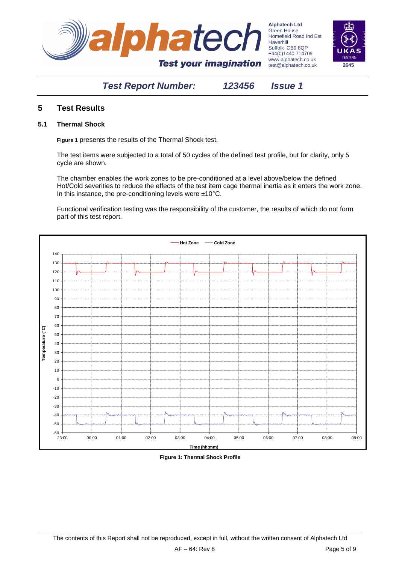



#### **5 Test Results**

#### <span id="page-4-0"></span>**5.1 Thermal Shock**

**[Figure 1](#page-4-1)** presents the results of the Thermal Shock test.

The test items were subjected to a total of 50 cycles of the defined test profile, but for clarity, only 5 cycle are shown.

The chamber enables the work zones to be pre-conditioned at a level above/below the defined Hot/Cold severities to reduce the effects of the test item cage thermal inertia as it enters the work zone. In this instance, the pre-conditioning levels were ±10°C.

Functional verification testing was the responsibility of the customer, the results of which do not form part of this test report.



<span id="page-4-1"></span>**Figure 1: Thermal Shock Profile**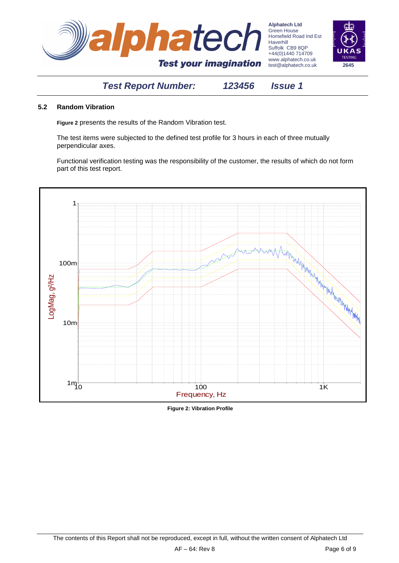



#### <span id="page-5-0"></span>**5.2 Random Vibration**

**[Figure 2](#page-5-1)** presents the results of the Random Vibration test.

The test items were subjected to the defined test profile for 3 hours in each of three mutually perpendicular axes.

Functional verification testing was the responsibility of the customer, the results of which do not form part of this test report.



<span id="page-5-1"></span>**Figure 2: Vibration Profile**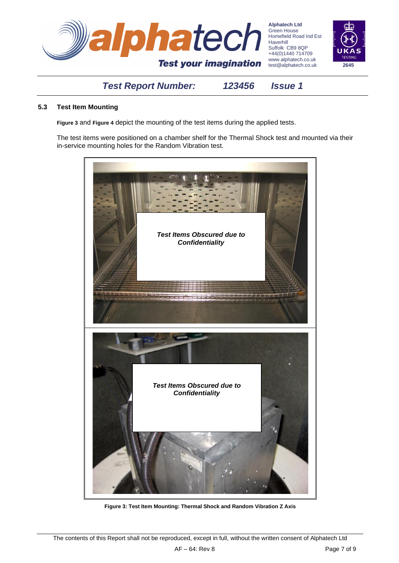

#### <span id="page-6-0"></span>**5.3 Test Item Mounting**

**[Figure 3](#page-6-1)** and **[Figure 4](#page-7-1)** depict the mounting of the test items during the applied tests.

The test items were positioned on a chamber shelf for the Thermal Shock test and mounted via their in-service mounting holes for the Random Vibration test.

<span id="page-6-1"></span>

**Figure 3: Test Item Mounting: Thermal Shock and Random Vibration Z Axis**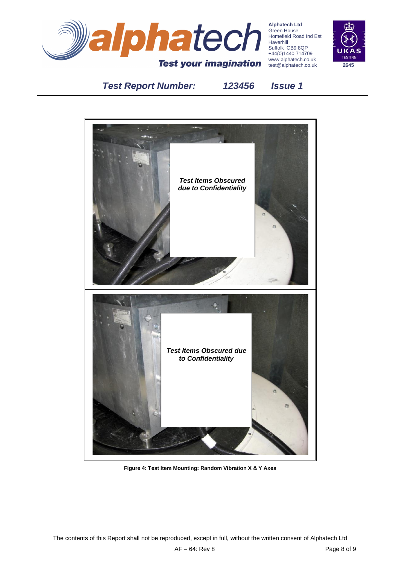

**Alphatech Ltd** Green House Homefield Road Ind Est Haverhill Suffolk CB9 8QP +44(0)1440 714709 www.alphatech.co.uk test@alphatech.co.uk **2645**



# *Test Report Number: 123456 Issue 1*

<span id="page-7-1"></span><span id="page-7-0"></span>

**Figure 4: Test Item Mounting: Random Vibration X & Y Axes**